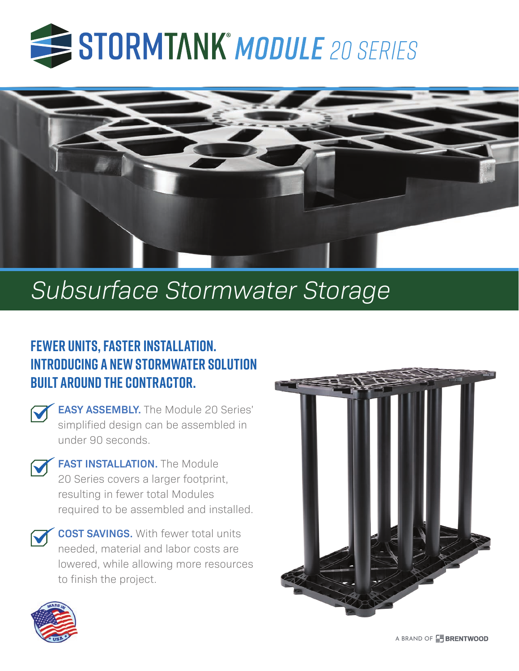



# *Subsurface Stormwater Storage*

## **Fewer units, faster installation. Introducing a new stormwater solution built around the contractor.**

**EASY ASSEMBLY.** The Module 20 Series' simplified design can be assembled in under 90 seconds.



**FAST INSTALLATION.** The Module 20 Series covers a larger footprint, resulting in fewer total Modules required to be assembled and installed.

**COST SAVINGS.** With fewer total units needed, material and labor costs are lowered, while allowing more resources to finish the project.





A BRAND OF **FRENTWOOD**